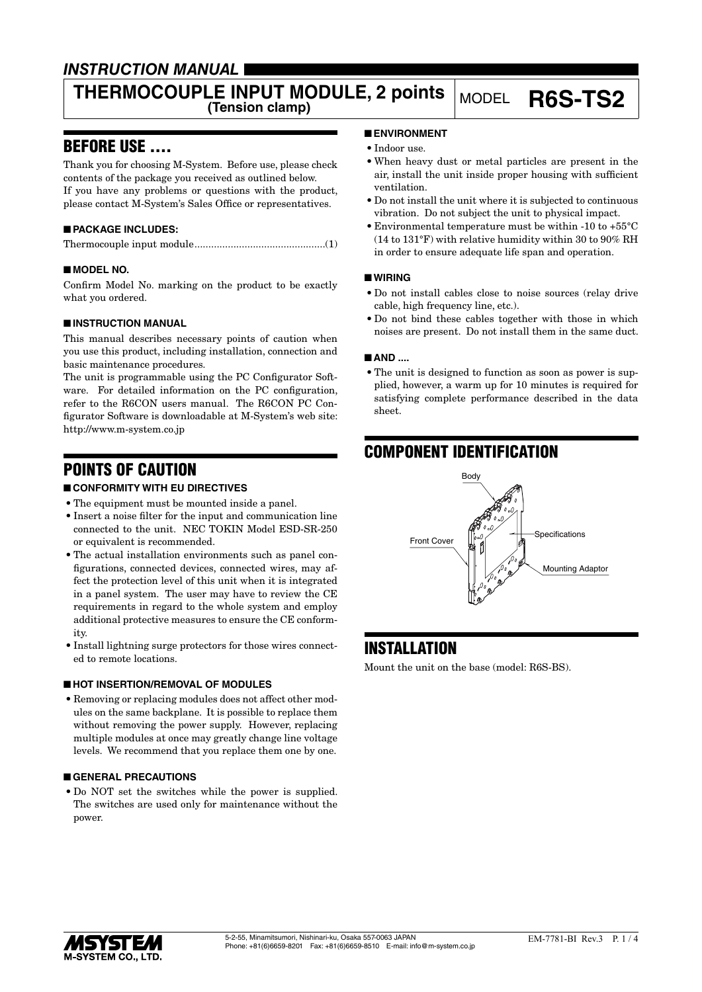## *INSTRUCTION MANUAL*

# **THERMOCOUPLE INPUT MODULE, 2 points** MODEL **R6S-TS2**

### BEFORE USE ....

Thank you for choosing M-System. Before use, please check contents of the package you received as outlined below. If you have any problems or questions with the product, please contact M-System's Sales Office or representatives.

### ■ **PACKAGE INCLUDES:**

|--|--|

#### ■ **MODEL NO.**

Confirm Model No. marking on the product to be exactly what you ordered.

#### ■ **INSTRUCTION MANUAL**

This manual describes necessary points of caution when you use this product, including installation, connection and basic maintenance procedures.

The unit is programmable using the PC Configurator Software. For detailed information on the PC configuration, refer to the R6CON users manual. The R6CON PC Configurator Software is downloadable at M-System's web site: http://www.m-system.co.jp

## POINTS OF CAUTION

#### ■ **CONFORMITY WITH EU DIRECTIVES**

- The equipment must be mounted inside a panel.
- • Insert a noise filter for the input and communication line connected to the unit. NEC TOKIN Model ESD-SR-250 or equivalent is recommended.
- The actual installation environments such as panel configurations, connected devices, connected wires, may affect the protection level of this unit when it is integrated in a panel system. The user may have to review the CE requirements in regard to the whole system and employ additional protective measures to ensure the CE conformity.
- Install lightning surge protectors for those wires connected to remote locations.

#### ■ **HOT INSERTION/REMOVAL OF MODULES**

• Removing or replacing modules does not affect other modules on the same backplane. It is possible to replace them without removing the power supply. However, replacing multiple modules at once may greatly change line voltage levels. We recommend that you replace them one by one.

#### ■ **GENERAL PRECAUTIONS**

• Do NOT set the switches while the power is supplied. The switches are used only for maintenance without the power.

#### ■ **ENVIRONMENT**

- Indoor use.
- • When heavy dust or metal particles are present in the air, install the unit inside proper housing with sufficient ventilation.
- • Do not install the unit where it is subjected to continuous vibration. Do not subject the unit to physical impact.
- • Environmental temperature must be within -10 to +55°C (14 to 131°F) with relative humidity within 30 to 90% RH in order to ensure adequate life span and operation.

#### ■ **WIRING**

- • Do not install cables close to noise sources (relay drive cable, high frequency line, etc.).
- Do not bind these cables together with those in which noises are present. Do not install them in the same duct.

#### ■ **AND** ....

• The unit is designed to function as soon as power is supplied, however, a warm up for 10 minutes is required for satisfying complete performance described in the data sheet.

## COMPONENT IDENTIFICATION



### INSTALLATION

Mount the unit on the base (model: R6S-BS).

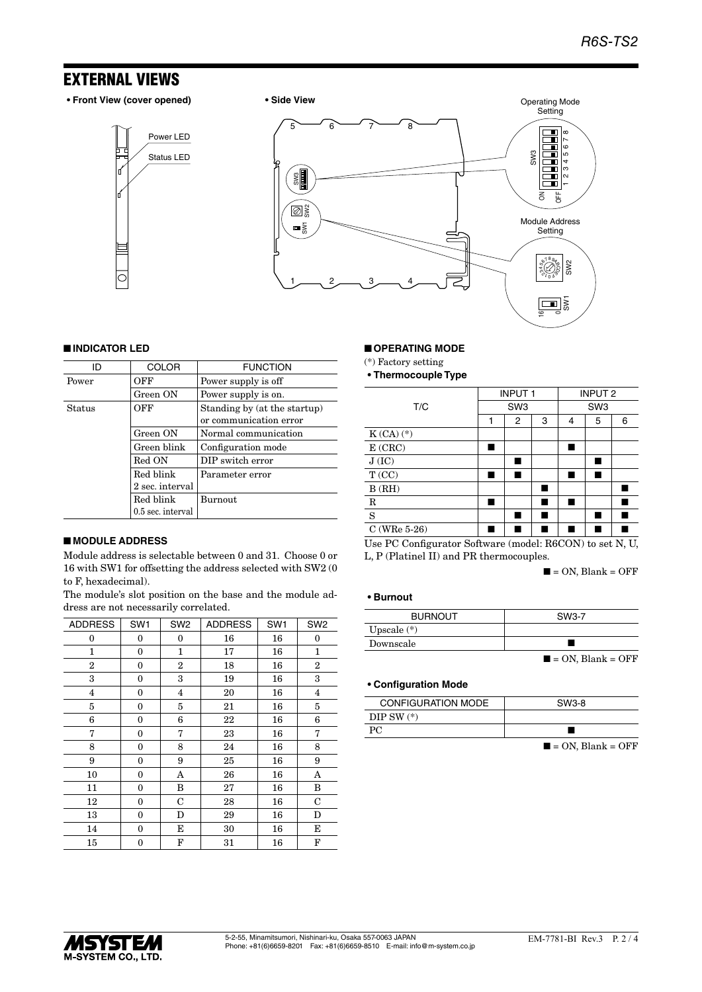### EXTERNAL VIEWS

**• Front View (cover opened) • Side View**

Status LED Power LED





#### ■ **INDICATOR LED**

| ID     | <b>COLOR</b>      | <b>FUNCTION</b>                                        |
|--------|-------------------|--------------------------------------------------------|
| Power  | OFF               | Power supply is off                                    |
|        | Green ON          | Power supply is on.                                    |
| Status | OFF               | Standing by (at the startup)<br>or communication error |
|        | Green ON          | Normal communication                                   |
|        | Green blink       | Configuration mode                                     |
|        | Red ON            | DIP switch error                                       |
|        | Red blink         | Parameter error                                        |
|        | 2 sec. interval   |                                                        |
|        | Red blink         | <b>Burnout</b>                                         |
|        | 0.5 sec. interval |                                                        |

#### ■ **MODULE ADDRESS**

Module address is selectable between 0 and 31. Choose 0 or 16 with SW1 for offsetting the address selected with SW2 (0 to F, hexadecimal).

The module's slot position on the base and the module address are not necessarily correlated.

| <b>ADDRESS</b> | SW <sub>1</sub>  | SW <sub>2</sub> | <b>ADDRESS</b> | SW <sub>1</sub> | SW <sub>2</sub> |
|----------------|------------------|-----------------|----------------|-----------------|-----------------|
| 0              | 0                | 0               | 16             | 16              | 0               |
| 1              | $\mathbf{0}$     | 1               | 17             | 16              | 1               |
| $\overline{2}$ | $\mathbf{0}$     | $\overline{2}$  | 18             | 16              | $\overline{2}$  |
| 3              | $\boldsymbol{0}$ | 3               | 19             | 16              | 3               |
| 4              | $\mathbf{0}$     | 4               | 20             | 16              | $\overline{4}$  |
| 5              | $\mathbf{0}$     | 5               | 21             | 16              | 5               |
| 6              | $\boldsymbol{0}$ | 6               | 22             | 16              | 6               |
| 7              | $\mathbf{0}$     | 7               | 23             | 16              | 7               |
| 8              | $\mathbf{0}$     | 8               | 24             | 16              | 8               |
| 9              | 0                | 9               | 25             | 16              | 9               |
| 10             | $\mathbf{0}$     | A               | 26             | 16              | A               |
| 11             | $\mathbf{0}$     | B               | 27             | 16              | B               |
| 12             | $\boldsymbol{0}$ | C               | 28             | 16              | C               |
| 13             | $\mathbf{0}$     | D               | 29             | 16              | D               |
| 14             | $\mathbf{0}$     | E               | 30             | 16              | Е               |
| 15             | 0                | F               | 31             | 16              | F               |

#### ■ **OPERATING MODE**

(\*) Factory setting

**• Thermocouple Type**

|                 |   | <b>INPUT1</b><br>SW <sub>3</sub> |   | <b>INPUT 2</b>  |   |   |
|-----------------|---|----------------------------------|---|-----------------|---|---|
| T/C             |   |                                  |   | SW <sub>3</sub> |   |   |
|                 | 1 | 2                                | 3 | 4               | 5 | 6 |
| $K(CA)$ $(*)$   |   |                                  |   |                 |   |   |
| E(CRC)          |   |                                  |   |                 |   |   |
| J(IC)           |   |                                  |   |                 |   |   |
| T(CC)           | ш |                                  |   | ш               |   |   |
| B(RH)           |   |                                  |   |                 |   |   |
| $\mathbb R$     |   |                                  |   |                 |   |   |
| S               |   |                                  |   |                 |   |   |
| C (WRe $5-26$ ) |   |                                  |   |                 |   |   |

Use PC Configurator Software (model: R6CON) to set N, U, L, P (Platinel II) and PR thermocouples.

 $\blacksquare$  = ON, Blank = OFF

#### **• Burnout**

| <b>BURNOUT</b> | SW3-7                            |
|----------------|----------------------------------|
| Upscale $(*)$  |                                  |
| Downscale      |                                  |
|                | $\blacksquare$ = ON, Blank = OFF |

#### **• Configuration Mode**

| <b>CONFIGURATION MODE</b> | SW3-8                            |
|---------------------------|----------------------------------|
| DIP SW $(*)$              |                                  |
| РC                        |                                  |
|                           | $\blacksquare$ = ON, Blank = OFF |

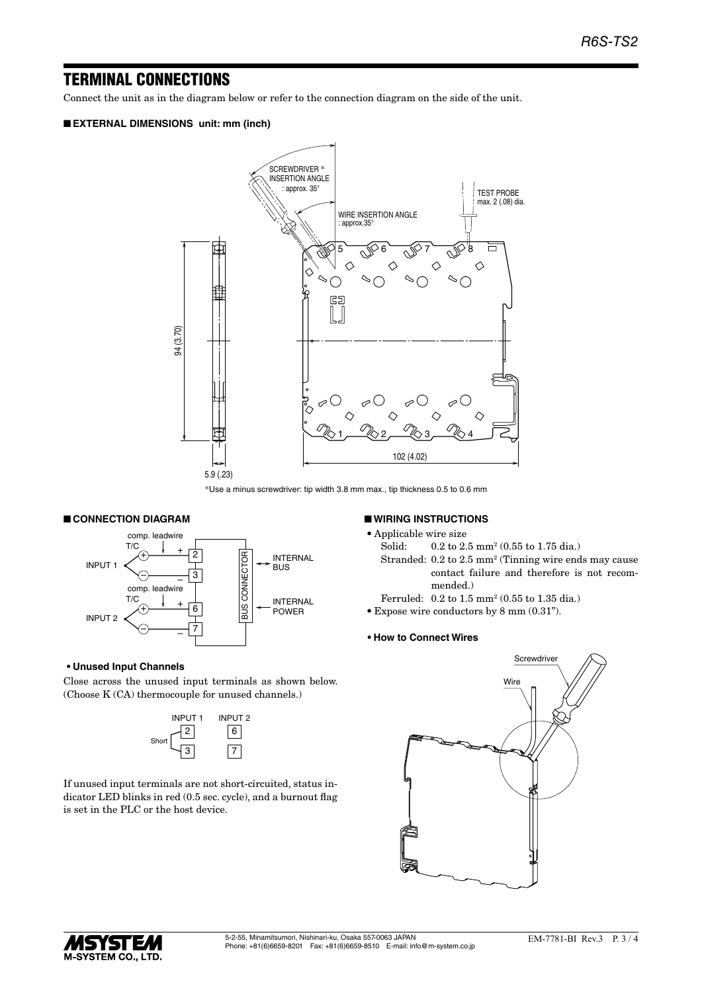### TERMINAL CONNECTIONS

Connect the unit as in the diagram below or refer to the connection diagram on the side of the unit.

#### ■ **EXTERNAL DIMENSIONS unit: mm (inch)**



\*Use a minus screwdriver: tip width 3.8 mm max., tip thickness 0.5 to 0.6 mm

#### ■ **CONNECTION DIAGRAM**



#### **• Unused Input Channels**

Close across the unused input terminals as shown below. (Choose K (CA) thermocouple for unused channels.)



If unused input terminals are not short-circuited, status indicator LED blinks in red (0.5 sec. cycle), and a burnout flag is set in the PLC or the host device.

#### ■ **WIRING INSTRUCTIONS**

• Applicable wire size

- Solid: 0.2 to 2.5 mm<sup>2</sup> (0.55 to 1.75 dia.)
- Stranded: 0.2 to 2.5 mm<sup>2</sup> (Tinning wire ends may cause contact failure and therefore is not recommended.)
- Ferruled: 0.2 to 1.5 mm<sup>2</sup> (0.55 to 1.35 dia.)
- • Expose wire conductors by 8 mm (0.31").

#### **• How to Connect Wires**